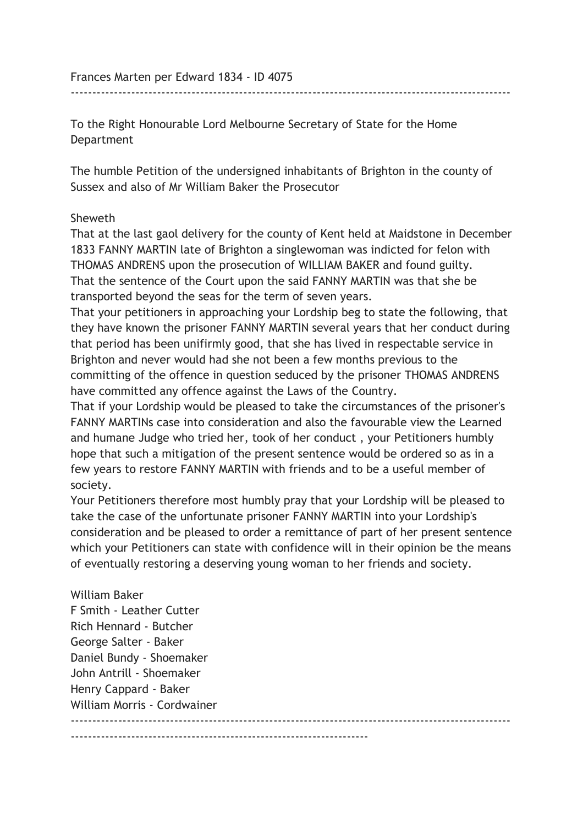Frances Marten per Edward 1834 - ID 4075

To the Right Honourable Lord Melbourne Secretary of State for the Home Department

The humble Petition of the undersigned inhabitants of Brighton in the county of Sussex and also of Mr William Baker the Prosecutor

------------------------------------------------------------------------------------------------------

## Sheweth

That at the last gaol delivery for the county of Kent held at Maidstone in December 1833 FANNY MARTIN late of Brighton a singlewoman was indicted for felon with THOMAS ANDRENS upon the prosecution of WILLIAM BAKER and found guilty. That the sentence of the Court upon the said FANNY MARTIN was that she be transported beyond the seas for the term of seven years.

That your petitioners in approaching your Lordship beg to state the following, that they have known the prisoner FANNY MARTIN several years that her conduct during that period has been unifirmly good, that she has lived in respectable service in Brighton and never would had she not been a few months previous to the committing of the offence in question seduced by the prisoner THOMAS ANDRENS have committed any offence against the Laws of the Country.

That if your Lordship would be pleased to take the circumstances of the prisoner's FANNY MARTINs case into consideration and also the favourable view the Learned and humane Judge who tried her, took of her conduct , your Petitioners humbly hope that such a mitigation of the present sentence would be ordered so as in a few years to restore FANNY MARTIN with friends and to be a useful member of society.

Your Petitioners therefore most humbly pray that your Lordship will be pleased to take the case of the unfortunate prisoner FANNY MARTIN into your Lordship's consideration and be pleased to order a remittance of part of her present sentence which your Petitioners can state with confidence will in their opinion be the means of eventually restoring a deserving young woman to her friends and society.

William Baker F Smith - Leather Cutter Rich Hennard - Butcher George Salter - Baker Daniel Bundy - Shoemaker John Antrill - Shoemaker Henry Cappard - Baker William Morris - Cordwainer ------------------------------------------------------------------------------------------------------  $-$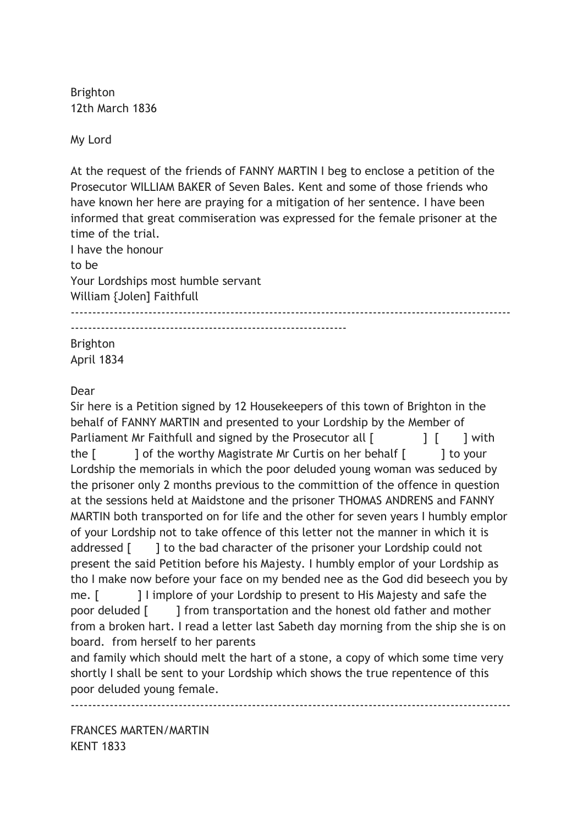Brighton 12th March 1836

My Lord

At the request of the friends of FANNY MARTIN I beg to enclose a petition of the Prosecutor WILLIAM BAKER of Seven Bales. Kent and some of those friends who have known her here are praying for a mitigation of her sentence. I have been informed that great commiseration was expressed for the female prisoner at the time of the trial.

I have the honour to be Your Lordships most humble servant William {Jolen] Faithfull  $-$ ---------------------------------------------------------------- Brighton April 1834

Dear

Sir here is a Petition signed by 12 Housekeepers of this town of Brighton in the behalf of FANNY MARTIN and presented to your Lordship by the Member of Parliament Mr Faithfull and signed by the Prosecutor all  $\begin{bmatrix} 1 & 1 \end{bmatrix}$  with the [ ] of the worthy Magistrate Mr Curtis on her behalf [ ] to your Lordship the memorials in which the poor deluded young woman was seduced by the prisoner only 2 months previous to the committion of the offence in question at the sessions held at Maidstone and the prisoner THOMAS ANDRENS and FANNY MARTIN both transported on for life and the other for seven years I humbly emplor of your Lordship not to take offence of this letter not the manner in which it is addressed [ ] to the bad character of the prisoner your Lordship could not present the said Petition before his Majesty. I humbly emplor of your Lordship as tho I make now before your face on my bended nee as the God did beseech you by me. [ ] l implore of your Lordship to present to His Majesty and safe the poor deluded [ ] from transportation and the honest old father and mother from a broken hart. I read a letter last Sabeth day morning from the ship she is on board. from herself to her parents

and family which should melt the hart of a stone, a copy of which some time very shortly I shall be sent to your Lordship which shows the true repentence of this poor deluded young female.

------------------------------------------------------------------------------------------------------

FRANCES MARTEN/MARTIN KENT 1833